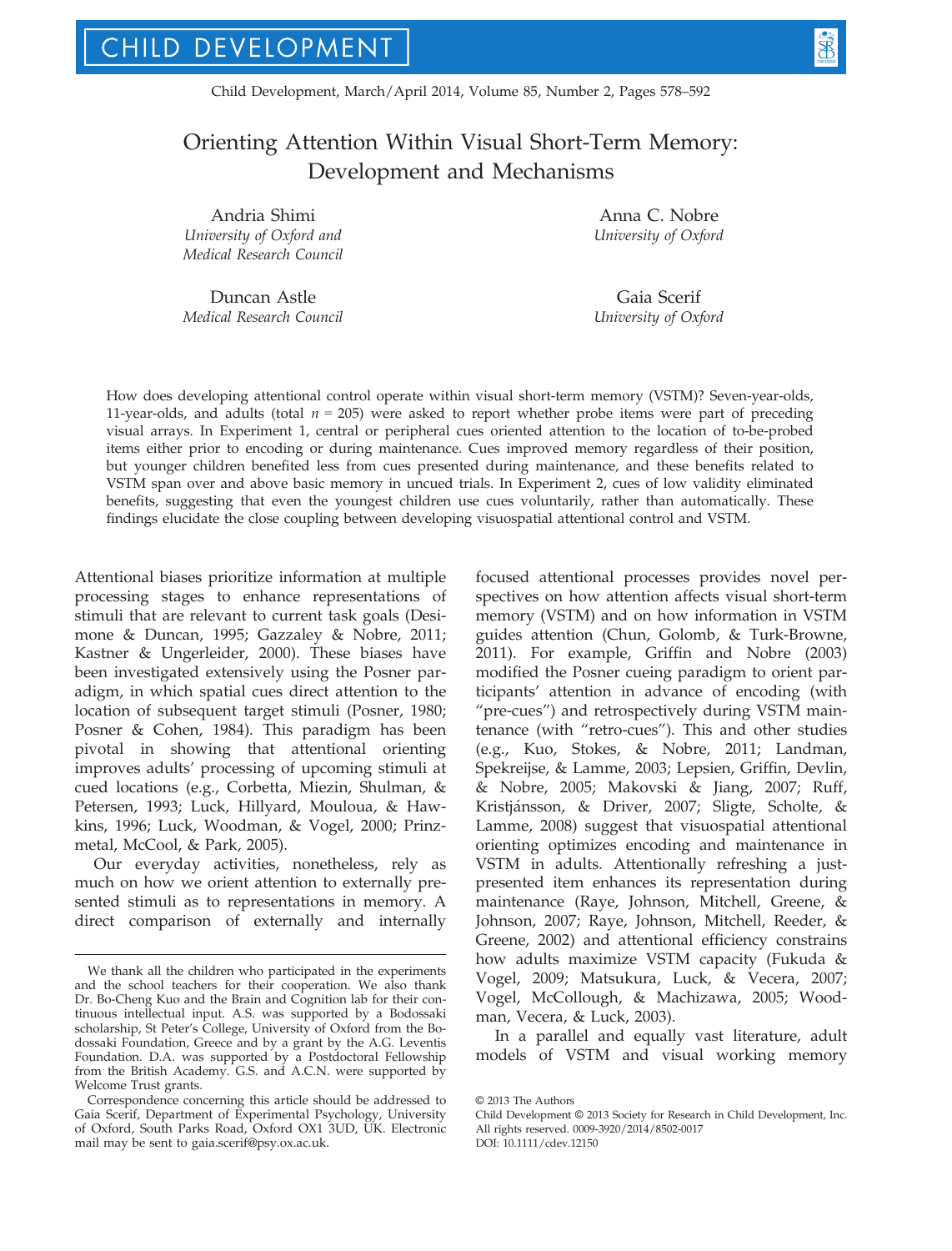Child Development, March/April 2014, Volume 85, Number 2, Pages 578–592



# Orienting Attention Within Visual Short-Term Memory: Development and Mechanisms

Andria Shimi University of Oxford and Medical Research Council

Duncan Astle Medical Research Council Gaia Scerif

Anna C. Nobre University of Oxford

University of Oxford

How does developing attentional control operate within visual short-term memory (VSTM)? Seven-year-olds, 11-year-olds, and adults (total  $n = 205$ ) were asked to report whether probe items were part of preceding visual arrays. In Experiment 1, central or peripheral cues oriented attention to the location of to-be-probed items either prior to encoding or during maintenance. Cues improved memory regardless of their position, but younger children benefited less from cues presented during maintenance, and these benefits related to VSTM span over and above basic memory in uncued trials. In Experiment 2, cues of low validity eliminated benefits, suggesting that even the youngest children use cues voluntarily, rather than automatically. These findings elucidate the close coupling between developing visuospatial attentional control and VSTM.

Attentional biases prioritize information at multiple processing stages to enhance representations of stimuli that are relevant to current task goals (Desimone & Duncan, 1995; Gazzaley & Nobre, 2011; Kastner & Ungerleider, 2000). These biases have been investigated extensively using the Posner paradigm, in which spatial cues direct attention to the location of subsequent target stimuli (Posner, 1980; Posner & Cohen, 1984). This paradigm has been pivotal in showing that attentional orienting improves adults' processing of upcoming stimuli at cued locations (e.g., Corbetta, Miezin, Shulman, & Petersen, 1993; Luck, Hillyard, Mouloua, & Hawkins, 1996; Luck, Woodman, & Vogel, 2000; Prinzmetal, McCool, & Park, 2005).

Our everyday activities, nonetheless, rely as much on how we orient attention to externally presented stimuli as to representations in memory. A direct comparison of externally and internally focused attentional processes provides novel perspectives on how attention affects visual short-term memory (VSTM) and on how information in VSTM guides attention (Chun, Golomb, & Turk-Browne, 2011). For example, Griffin and Nobre (2003) modified the Posner cueing paradigm to orient participants' attention in advance of encoding (with "pre-cues") and retrospectively during VSTM maintenance (with "retro-cues"). This and other studies (e.g., Kuo, Stokes, & Nobre, 2011; Landman, Spekreijse, & Lamme, 2003; Lepsien, Griffin, Devlin, & Nobre, 2005; Makovski & Jiang, 2007; Ruff, Kristjansson, & Driver, 2007; Sligte, Scholte, & Lamme, 2008) suggest that visuospatial attentional orienting optimizes encoding and maintenance in VSTM in adults. Attentionally refreshing a justpresented item enhances its representation during maintenance (Raye, Johnson, Mitchell, Greene, & Johnson, 2007; Raye, Johnson, Mitchell, Reeder, & Greene, 2002) and attentional efficiency constrains how adults maximize VSTM capacity (Fukuda & Vogel, 2009; Matsukura, Luck, & Vecera, 2007; Vogel, McCollough, & Machizawa, 2005; Woodman, Vecera, & Luck, 2003).

In a parallel and equally vast literature, adult models of VSTM and visual working memory

We thank all the children who participated in the experiments and the school teachers for their cooperation. We also thank Dr. Bo-Cheng Kuo and the Brain and Cognition lab for their continuous intellectual input. A.S. was supported by a Bodossaki scholarship, St Peter's College, University of Oxford from the Bodossaki Foundation, Greece and by a grant by the A.G. Leventis Foundation. D.A. was supported by a Postdoctoral Fellowship from the British Academy. G.S. and A.C.N. were supported by Welcome Trust grants.

Correspondence concerning this article should be addressed to Gaia Scerif, Department of Experimental Psychology, University of Oxford, South Parks Road, Oxford OX1 3UD, UK. Electronic mail may be sent to gaia.scerif@psy.ox.ac.uk.

<sup>©</sup> 2013 The Authors

Child Development © 2013 Society for Research in Child Development, Inc. All rights reserved. 0009-3920/2014/8502-0017 DOI: 10.1111/cdev.12150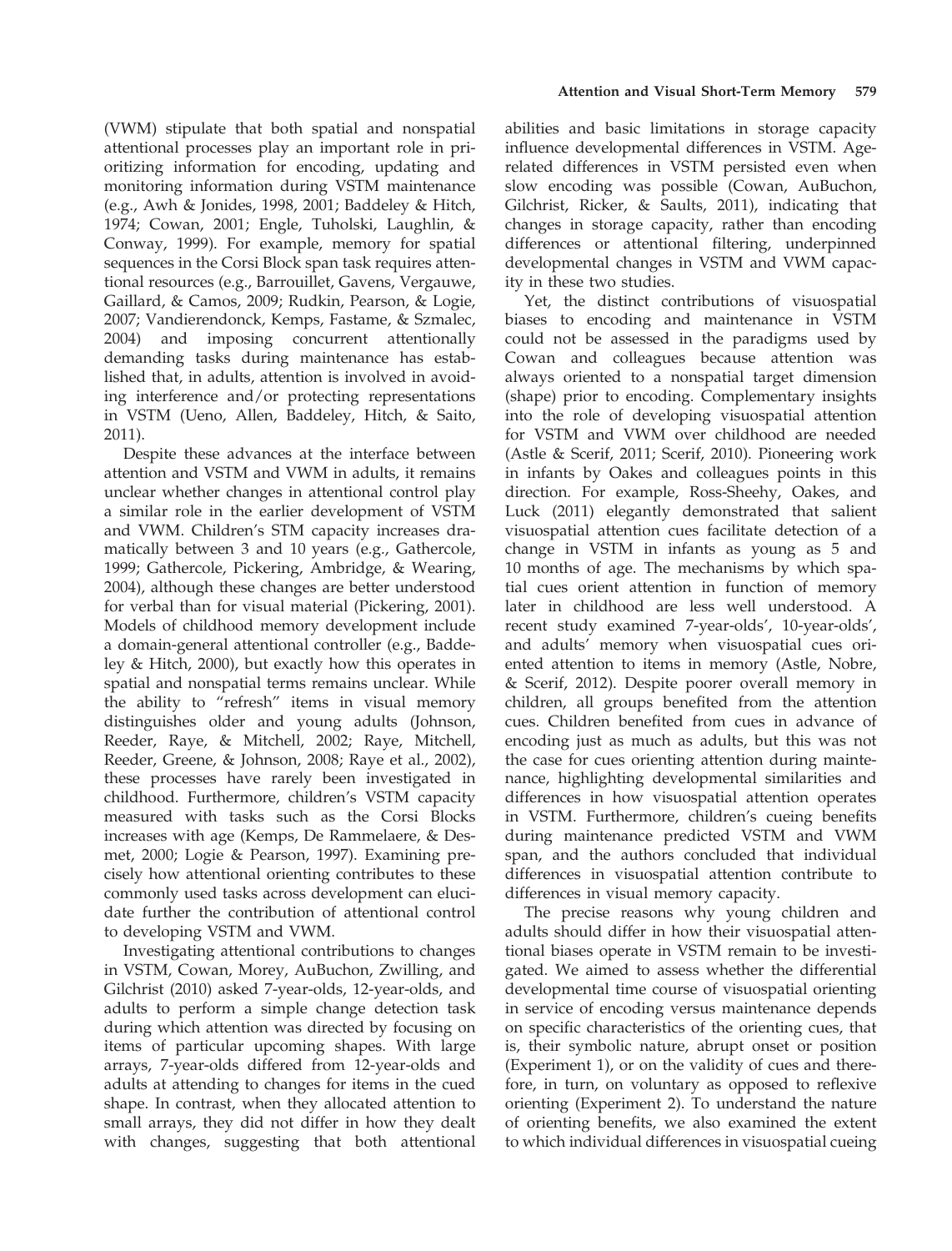(VWM) stipulate that both spatial and nonspatial attentional processes play an important role in prioritizing information for encoding, updating and monitoring information during VSTM maintenance (e.g., Awh & Jonides, 1998, 2001; Baddeley & Hitch, 1974; Cowan, 2001; Engle, Tuholski, Laughlin, & Conway, 1999). For example, memory for spatial sequences in the Corsi Block span task requires attentional resources (e.g., Barrouillet, Gavens, Vergauwe, Gaillard, & Camos, 2009; Rudkin, Pearson, & Logie, 2007; Vandierendonck, Kemps, Fastame, & Szmalec, 2004) and imposing concurrent attentionally demanding tasks during maintenance has established that, in adults, attention is involved in avoiding interference and/or protecting representations in VSTM (Ueno, Allen, Baddeley, Hitch, & Saito, 2011).

Despite these advances at the interface between attention and VSTM and VWM in adults, it remains unclear whether changes in attentional control play a similar role in the earlier development of VSTM and VWM. Children's STM capacity increases dramatically between 3 and 10 years (e.g., Gathercole, 1999; Gathercole, Pickering, Ambridge, & Wearing, 2004), although these changes are better understood for verbal than for visual material (Pickering, 2001). Models of childhood memory development include a domain-general attentional controller (e.g., Baddeley & Hitch, 2000), but exactly how this operates in spatial and nonspatial terms remains unclear. While the ability to "refresh" items in visual memory distinguishes older and young adults (Johnson, Reeder, Raye, & Mitchell, 2002; Raye, Mitchell, Reeder, Greene, & Johnson, 2008; Raye et al., 2002), these processes have rarely been investigated in childhood. Furthermore, children's VSTM capacity measured with tasks such as the Corsi Blocks increases with age (Kemps, De Rammelaere, & Desmet, 2000; Logie & Pearson, 1997). Examining precisely how attentional orienting contributes to these commonly used tasks across development can elucidate further the contribution of attentional control to developing VSTM and VWM.

Investigating attentional contributions to changes in VSTM, Cowan, Morey, AuBuchon, Zwilling, and Gilchrist (2010) asked 7-year-olds, 12-year-olds, and adults to perform a simple change detection task during which attention was directed by focusing on items of particular upcoming shapes. With large arrays, 7-year-olds differed from 12-year-olds and adults at attending to changes for items in the cued shape. In contrast, when they allocated attention to small arrays, they did not differ in how they dealt with changes, suggesting that both attentional

abilities and basic limitations in storage capacity influence developmental differences in VSTM. Agerelated differences in VSTM persisted even when slow encoding was possible (Cowan, AuBuchon, Gilchrist, Ricker, & Saults, 2011), indicating that changes in storage capacity, rather than encoding differences or attentional filtering, underpinned developmental changes in VSTM and VWM capacity in these two studies.

Yet, the distinct contributions of visuospatial biases to encoding and maintenance in VSTM could not be assessed in the paradigms used by Cowan and colleagues because attention was always oriented to a nonspatial target dimension (shape) prior to encoding. Complementary insights into the role of developing visuospatial attention for VSTM and VWM over childhood are needed (Astle & Scerif, 2011; Scerif, 2010). Pioneering work in infants by Oakes and colleagues points in this direction. For example, Ross-Sheehy, Oakes, and Luck (2011) elegantly demonstrated that salient visuospatial attention cues facilitate detection of a change in VSTM in infants as young as 5 and 10 months of age. The mechanisms by which spatial cues orient attention in function of memory later in childhood are less well understood. A recent study examined 7-year-olds', 10-year-olds', and adults' memory when visuospatial cues oriented attention to items in memory (Astle, Nobre, & Scerif, 2012). Despite poorer overall memory in children, all groups benefited from the attention cues. Children benefited from cues in advance of encoding just as much as adults, but this was not the case for cues orienting attention during maintenance, highlighting developmental similarities and differences in how visuospatial attention operates in VSTM. Furthermore, children's cueing benefits during maintenance predicted VSTM and VWM span, and the authors concluded that individual differences in visuospatial attention contribute to differences in visual memory capacity.

The precise reasons why young children and adults should differ in how their visuospatial attentional biases operate in VSTM remain to be investigated. We aimed to assess whether the differential developmental time course of visuospatial orienting in service of encoding versus maintenance depends on specific characteristics of the orienting cues, that is, their symbolic nature, abrupt onset or position (Experiment 1), or on the validity of cues and therefore, in turn, on voluntary as opposed to reflexive orienting (Experiment 2). To understand the nature of orienting benefits, we also examined the extent to which individual differences in visuospatial cueing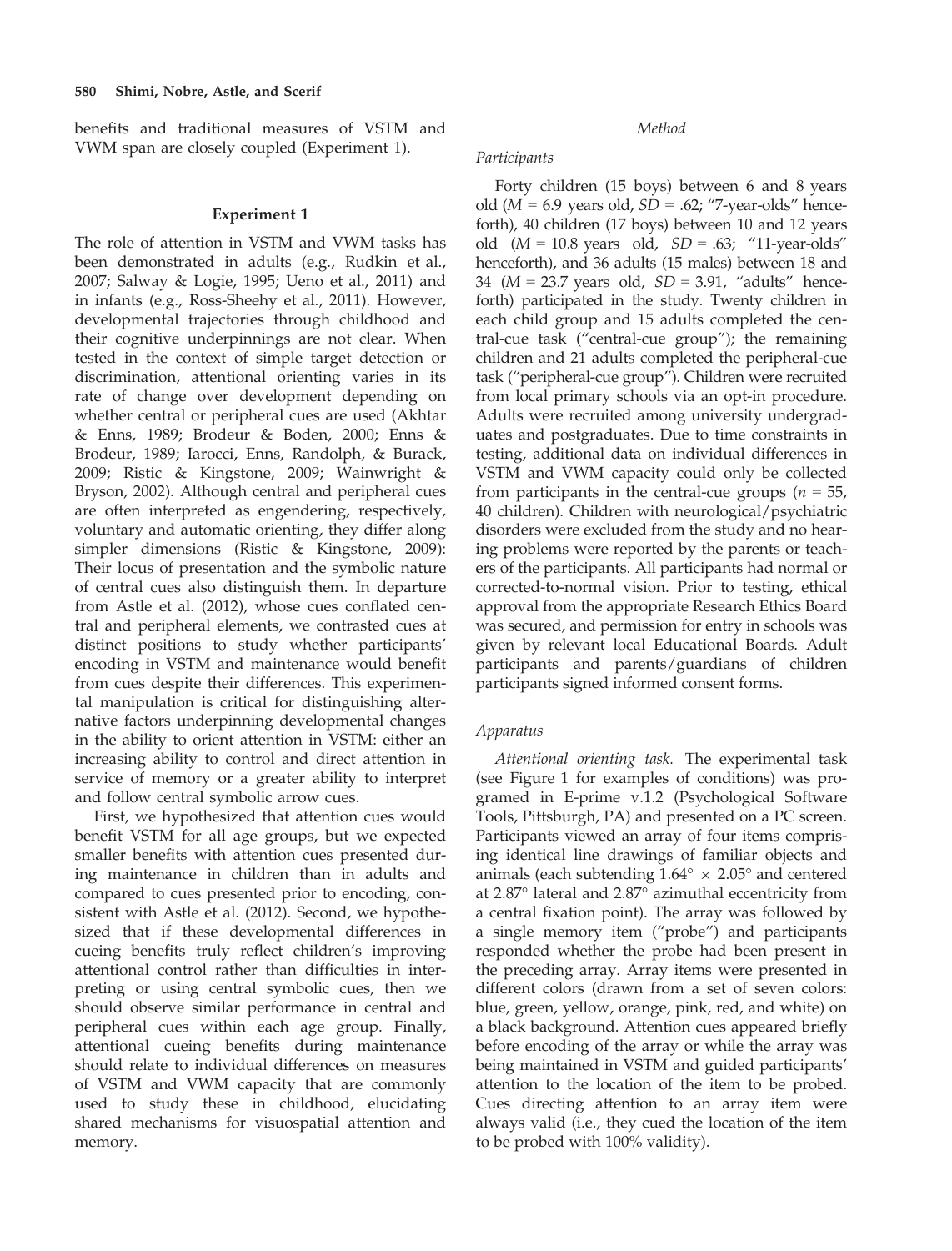benefits and traditional measures of VSTM and VWM span are closely coupled (Experiment 1).

#### Experiment 1

The role of attention in VSTM and VWM tasks has been demonstrated in adults (e.g., Rudkin et al., 2007; Salway & Logie, 1995; Ueno et al., 2011) and in infants (e.g., Ross-Sheehy et al., 2011). However, developmental trajectories through childhood and their cognitive underpinnings are not clear. When tested in the context of simple target detection or discrimination, attentional orienting varies in its rate of change over development depending on whether central or peripheral cues are used (Akhtar & Enns, 1989; Brodeur & Boden, 2000; Enns & Brodeur, 1989; Iarocci, Enns, Randolph, & Burack, 2009; Ristic & Kingstone, 2009; Wainwright & Bryson, 2002). Although central and peripheral cues are often interpreted as engendering, respectively, voluntary and automatic orienting, they differ along simpler dimensions (Ristic & Kingstone, 2009): Their locus of presentation and the symbolic nature of central cues also distinguish them. In departure from Astle et al. (2012), whose cues conflated central and peripheral elements, we contrasted cues at distinct positions to study whether participants' encoding in VSTM and maintenance would benefit from cues despite their differences. This experimental manipulation is critical for distinguishing alternative factors underpinning developmental changes in the ability to orient attention in VSTM: either an increasing ability to control and direct attention in service of memory or a greater ability to interpret and follow central symbolic arrow cues.

First, we hypothesized that attention cues would benefit VSTM for all age groups, but we expected smaller benefits with attention cues presented during maintenance in children than in adults and compared to cues presented prior to encoding, consistent with Astle et al. (2012). Second, we hypothesized that if these developmental differences in cueing benefits truly reflect children's improving attentional control rather than difficulties in interpreting or using central symbolic cues, then we should observe similar performance in central and peripheral cues within each age group. Finally, attentional cueing benefits during maintenance should relate to individual differences on measures of VSTM and VWM capacity that are commonly used to study these in childhood, elucidating shared mechanisms for visuospatial attention and memory.

## Method

#### Participants

Forty children (15 boys) between 6 and 8 years old ( $M = 6.9$  years old,  $SD = .62$ ; "7-year-olds" henceforth), 40 children (17 boys) between 10 and 12 years old  $(M = 10.8 \text{ years}$  old,  $SD = .63$ ; "11-year-olds" henceforth), and 36 adults (15 males) between 18 and 34 ( $M = 23.7$  years old,  $SD = 3.91$ , "adults" henceforth) participated in the study. Twenty children in each child group and 15 adults completed the central-cue task ("central-cue group"); the remaining children and 21 adults completed the peripheral-cue task ("peripheral-cue group"). Children were recruited from local primary schools via an opt-in procedure. Adults were recruited among university undergraduates and postgraduates. Due to time constraints in testing, additional data on individual differences in VSTM and VWM capacity could only be collected from participants in the central-cue groups ( $n = 55$ , 40 children). Children with neurological/psychiatric disorders were excluded from the study and no hearing problems were reported by the parents or teachers of the participants. All participants had normal or corrected-to-normal vision. Prior to testing, ethical approval from the appropriate Research Ethics Board was secured, and permission for entry in schools was given by relevant local Educational Boards. Adult participants and parents/guardians of children participants signed informed consent forms.

#### Apparatus

Attentional orienting task. The experimental task (see Figure 1 for examples of conditions) was programed in E-prime v.1.2 (Psychological Software Tools, Pittsburgh, PA) and presented on a PC screen. Participants viewed an array of four items comprising identical line drawings of familiar objects and animals (each subtending  $1.64^{\circ} \times 2.05^{\circ}$  and centered at 2.87° lateral and 2.87° azimuthal eccentricity from a central fixation point). The array was followed by a single memory item ("probe") and participants responded whether the probe had been present in the preceding array. Array items were presented in different colors (drawn from a set of seven colors: blue, green, yellow, orange, pink, red, and white) on a black background. Attention cues appeared briefly before encoding of the array or while the array was being maintained in VSTM and guided participants' attention to the location of the item to be probed. Cues directing attention to an array item were always valid (i.e., they cued the location of the item to be probed with 100% validity).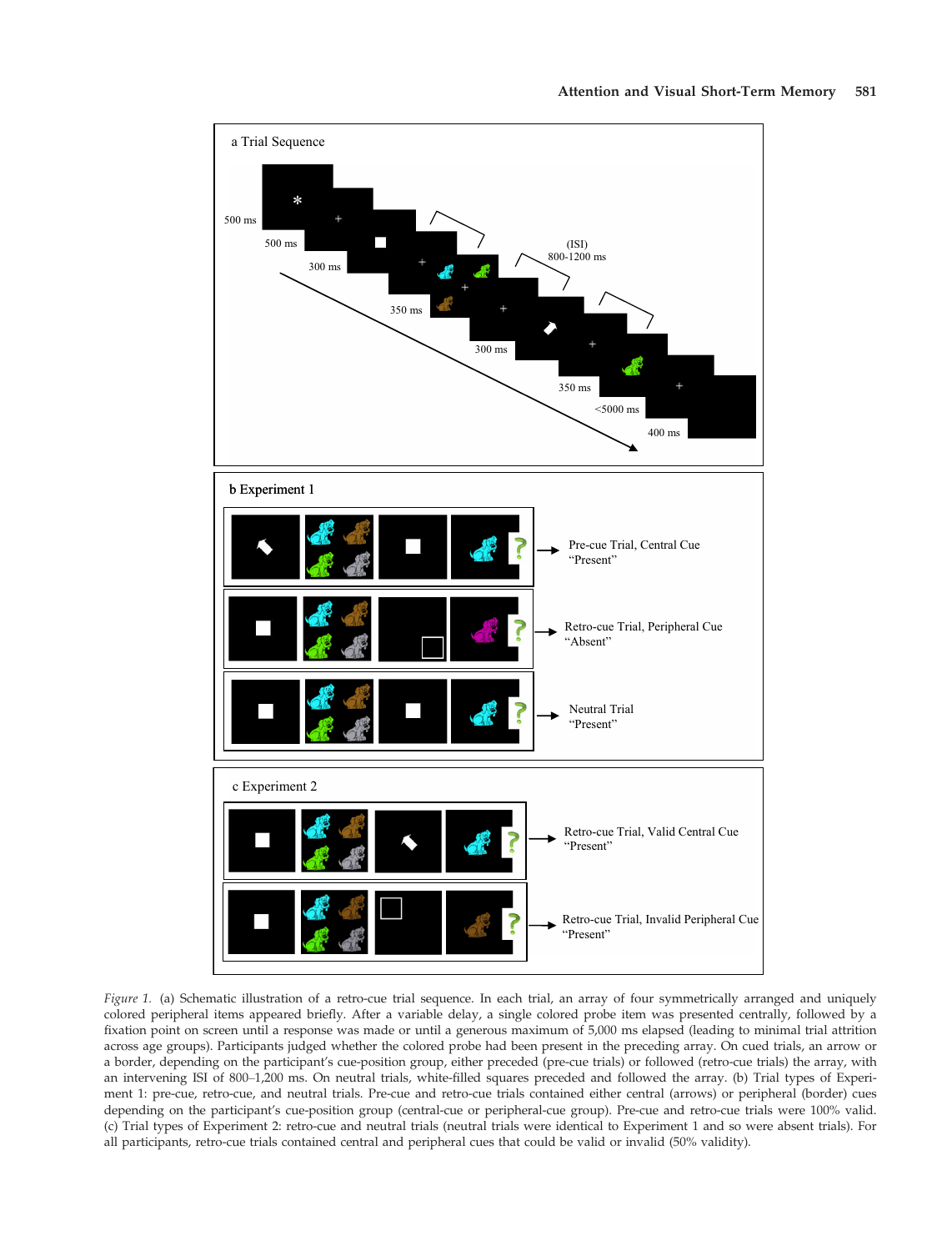

Figure 1. (a) Schematic illustration of a retro-cue trial sequence. In each trial, an array of four symmetrically arranged and uniquely colored peripheral items appeared briefly. After a variable delay, a single colored probe item was presented centrally, followed by a fixation point on screen until a response was made or until a generous maximum of 5,000 ms elapsed (leading to minimal trial attrition across age groups). Participants judged whether the colored probe had been present in the preceding array. On cued trials, an arrow or a border, depending on the participant's cue-position group, either preceded (pre-cue trials) or followed (retro-cue trials) the array, with an intervening ISI of 800–1,200 ms. On neutral trials, white-filled squares preceded and followed the array. (b) Trial types of Experiment 1: pre-cue, retro-cue, and neutral trials. Pre-cue and retro-cue trials contained either central (arrows) or peripheral (border) cues depending on the participant's cue-position group (central-cue or peripheral-cue group). Pre-cue and retro-cue trials were 100% valid. (c) Trial types of Experiment 2: retro-cue and neutral trials (neutral trials were identical to Experiment 1 and so were absent trials). For all participants, retro-cue trials contained central and peripheral cues that could be valid or invalid (50% validity).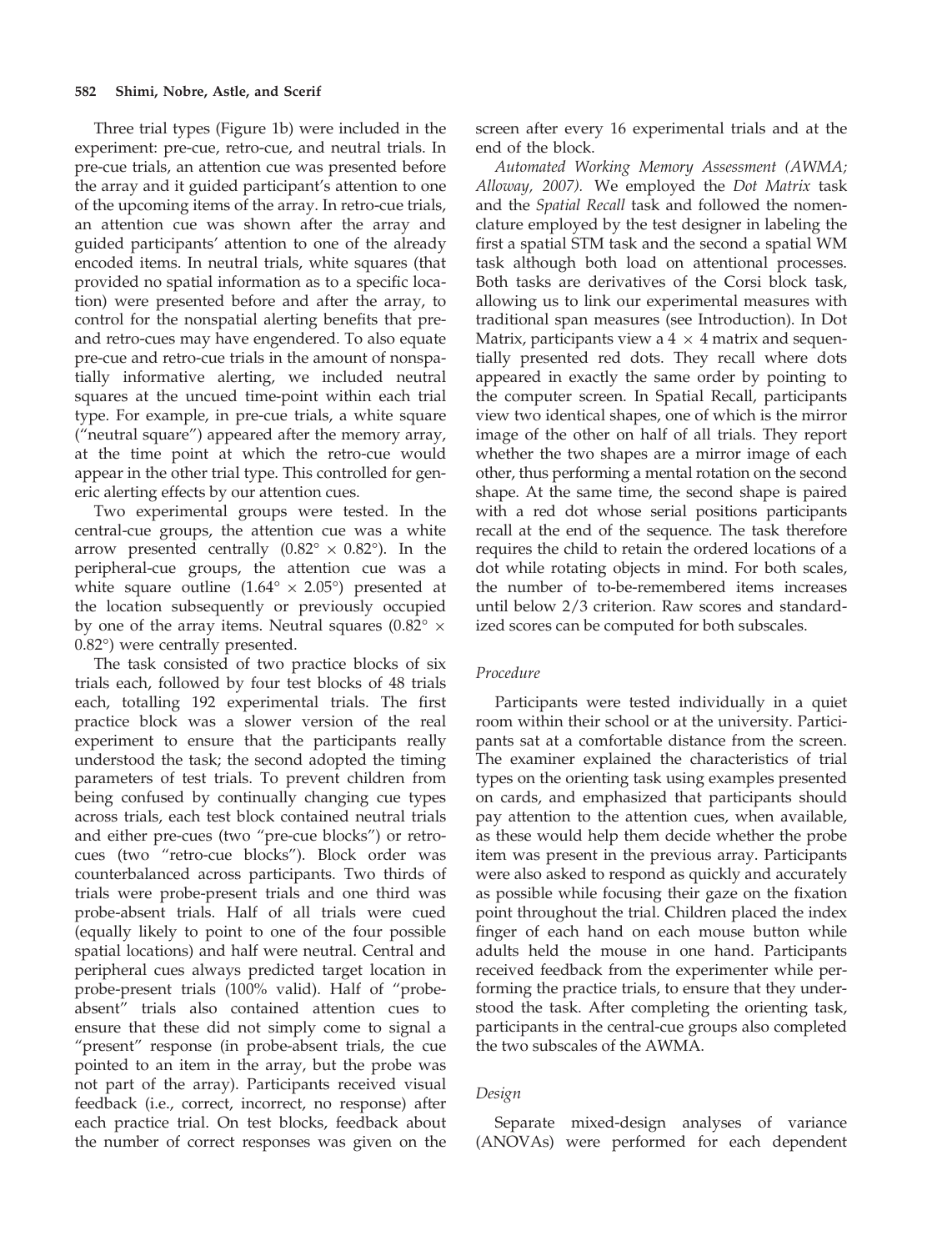Three trial types (Figure 1b) were included in the experiment: pre-cue, retro-cue, and neutral trials. In pre-cue trials, an attention cue was presented before the array and it guided participant's attention to one of the upcoming items of the array. In retro-cue trials, an attention cue was shown after the array and guided participants' attention to one of the already encoded items. In neutral trials, white squares (that provided no spatial information as to a specific location) were presented before and after the array, to control for the nonspatial alerting benefits that preand retro-cues may have engendered. To also equate pre-cue and retro-cue trials in the amount of nonspatially informative alerting, we included neutral squares at the uncued time-point within each trial type. For example, in pre-cue trials, a white square ("neutral square") appeared after the memory array, at the time point at which the retro-cue would appear in the other trial type. This controlled for generic alerting effects by our attention cues.

Two experimental groups were tested. In the central-cue groups, the attention cue was a white arrow presented centrally  $(0.82^{\circ} \times 0.82^{\circ})$ . In the peripheral-cue groups, the attention cue was a white square outline  $(1.64^{\circ} \times 2.05^{\circ})$  presented at the location subsequently or previously occupied by one of the array items. Neutral squares (0.82 $\degree$   $\times$ 0.82°) were centrally presented.

The task consisted of two practice blocks of six trials each, followed by four test blocks of 48 trials each, totalling 192 experimental trials. The first practice block was a slower version of the real experiment to ensure that the participants really understood the task; the second adopted the timing parameters of test trials. To prevent children from being confused by continually changing cue types across trials, each test block contained neutral trials and either pre-cues (two "pre-cue blocks") or retrocues (two "retro-cue blocks"). Block order was counterbalanced across participants. Two thirds of trials were probe-present trials and one third was probe-absent trials. Half of all trials were cued (equally likely to point to one of the four possible spatial locations) and half were neutral. Central and peripheral cues always predicted target location in probe-present trials (100% valid). Half of "probeabsent" trials also contained attention cues to ensure that these did not simply come to signal a "present" response (in probe-absent trials, the cue pointed to an item in the array, but the probe was not part of the array). Participants received visual feedback (i.e., correct, incorrect, no response) after each practice trial. On test blocks, feedback about the number of correct responses was given on the

screen after every 16 experimental trials and at the end of the block.

Automated Working Memory Assessment (AWMA; Alloway, 2007). We employed the Dot Matrix task and the Spatial Recall task and followed the nomenclature employed by the test designer in labeling the first a spatial STM task and the second a spatial WM task although both load on attentional processes. Both tasks are derivatives of the Corsi block task, allowing us to link our experimental measures with traditional span measures (see Introduction). In Dot Matrix, participants view a  $4 \times 4$  matrix and sequentially presented red dots. They recall where dots appeared in exactly the same order by pointing to the computer screen. In Spatial Recall, participants view two identical shapes, one of which is the mirror image of the other on half of all trials. They report whether the two shapes are a mirror image of each other, thus performing a mental rotation on the second shape. At the same time, the second shape is paired with a red dot whose serial positions participants recall at the end of the sequence. The task therefore requires the child to retain the ordered locations of a dot while rotating objects in mind. For both scales, the number of to-be-remembered items increases until below 2/3 criterion. Raw scores and standardized scores can be computed for both subscales.

# Procedure

Participants were tested individually in a quiet room within their school or at the university. Participants sat at a comfortable distance from the screen. The examiner explained the characteristics of trial types on the orienting task using examples presented on cards, and emphasized that participants should pay attention to the attention cues, when available, as these would help them decide whether the probe item was present in the previous array. Participants were also asked to respond as quickly and accurately as possible while focusing their gaze on the fixation point throughout the trial. Children placed the index finger of each hand on each mouse button while adults held the mouse in one hand. Participants received feedback from the experimenter while performing the practice trials, to ensure that they understood the task. After completing the orienting task, participants in the central-cue groups also completed the two subscales of the AWMA.

#### Design

Separate mixed-design analyses of variance (ANOVAs) were performed for each dependent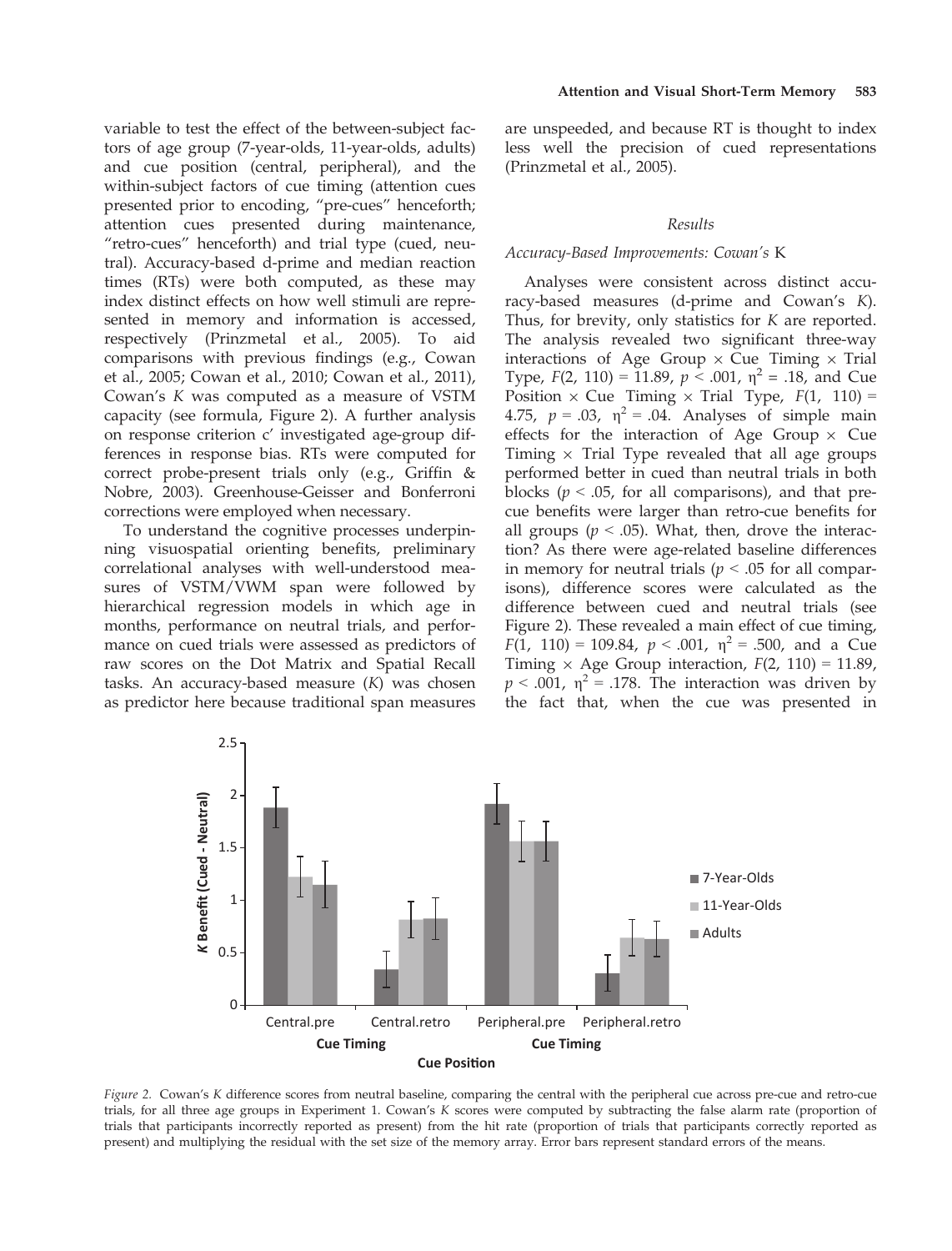variable to test the effect of the between-subject factors of age group (7-year-olds, 11-year-olds, adults) and cue position (central, peripheral), and the within-subject factors of cue timing (attention cues presented prior to encoding, "pre-cues" henceforth; attention cues presented during maintenance, "retro-cues" henceforth) and trial type (cued, neutral). Accuracy-based d-prime and median reaction times (RTs) were both computed, as these may index distinct effects on how well stimuli are represented in memory and information is accessed, respectively (Prinzmetal et al., 2005). To aid comparisons with previous findings (e.g., Cowan et al., 2005; Cowan et al., 2010; Cowan et al., 2011), Cowan's K was computed as a measure of VSTM capacity (see formula, Figure 2). A further analysis on response criterion c' investigated age-group differences in response bias. RTs were computed for correct probe-present trials only (e.g., Griffin & Nobre, 2003). Greenhouse-Geisser and Bonferroni corrections were employed when necessary.

To understand the cognitive processes underpinning visuospatial orienting benefits, preliminary correlational analyses with well-understood measures of VSTM/VWM span were followed by hierarchical regression models in which age in months, performance on neutral trials, and performance on cued trials were assessed as predictors of raw scores on the Dot Matrix and Spatial Recall tasks. An accuracy-based measure (K) was chosen as predictor here because traditional span measures are unspeeded, and because RT is thought to index less well the precision of cued representations (Prinzmetal et al., 2005).

#### Results

#### Accuracy-Based Improvements: Cowan's K

Analyses were consistent across distinct accuracy-based measures (d-prime and Cowan's K). Thus, for brevity, only statistics for K are reported. The analysis revealed two significant three-way interactions of Age Group  $\times$  Cue Timing  $\times$  Trial Type,  $F(2, 110) = 11.89$ ,  $p < .001$ ,  $\eta^2 = .18$ , and Cue Position  $\times$  Cue Timing  $\times$  Trial Type,  $F(1, 110) =$ 4.75,  $p = .03$ ,  $\eta^2 = .04$ . Analyses of simple main effects for the interaction of Age Group  $\times$  Cue Timing  $\times$  Trial Type revealed that all age groups performed better in cued than neutral trials in both blocks ( $p < .05$ , for all comparisons), and that precue benefits were larger than retro-cue benefits for all groups ( $p < .05$ ). What, then, drove the interaction? As there were age-related baseline differences in memory for neutral trials ( $p < .05$  for all comparisons), difference scores were calculated as the difference between cued and neutral trials (see Figure 2). These revealed a main effect of cue timing,  $F(1, 110) = 109.84$ ,  $p < .001$ ,  $\eta^2 = .500$ , and a Cue Timing  $\times$  Age Group interaction,  $F(2, 110) = 11.89$ ,  $p < .001$ ,  $\eta^2 = .178$ . The interaction was driven by the fact that, when the cue was presented in



Figure 2. Cowan's K difference scores from neutral baseline, comparing the central with the peripheral cue across pre-cue and retro-cue trials, for all three age groups in Experiment 1. Cowan's K scores were computed by subtracting the false alarm rate (proportion of trials that participants incorrectly reported as present) from the hit rate (proportion of trials that participants correctly reported as present) and multiplying the residual with the set size of the memory array. Error bars represent standard errors of the means.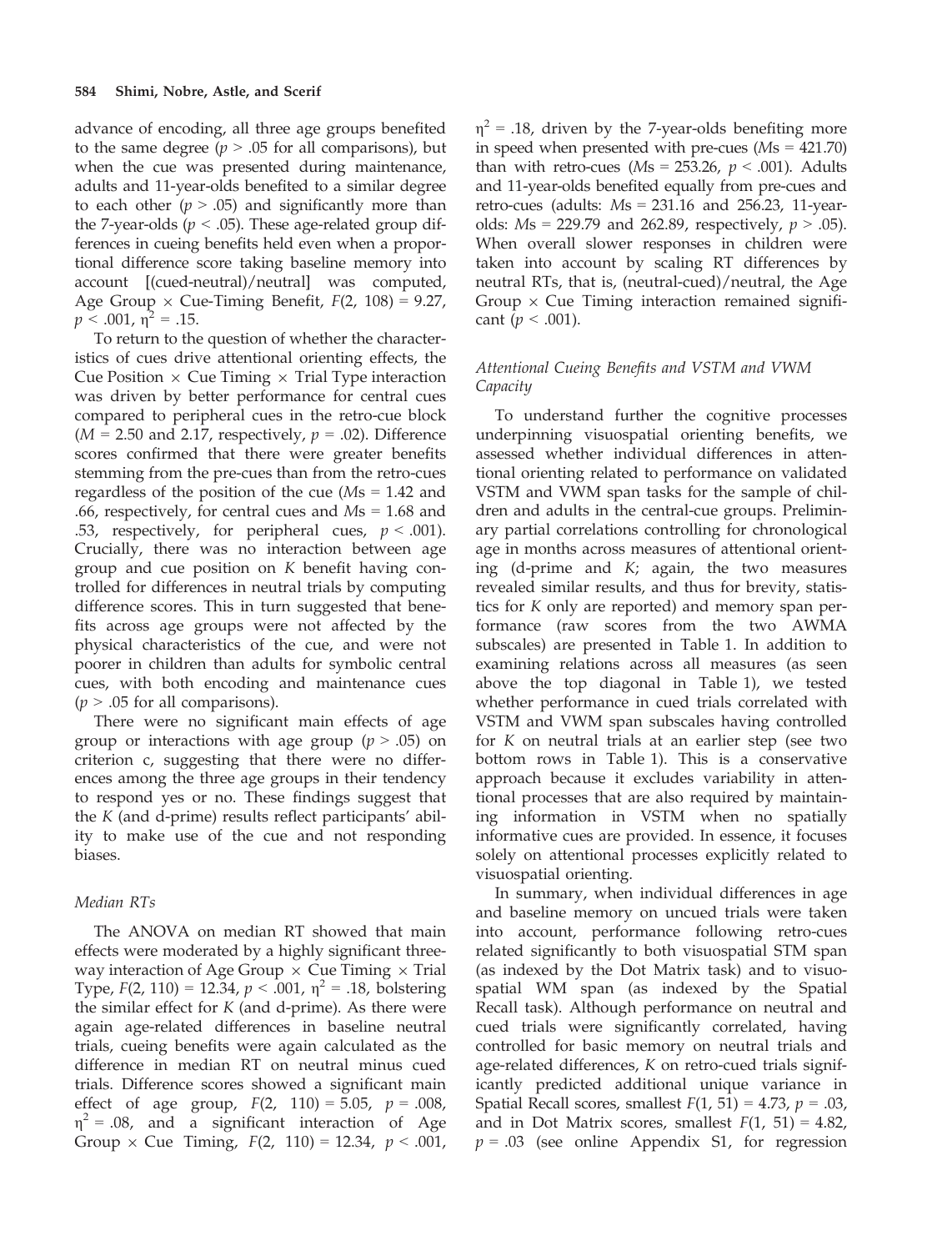advance of encoding, all three age groups benefited to the same degree ( $p > .05$  for all comparisons), but when the cue was presented during maintenance, adults and 11-year-olds benefited to a similar degree to each other  $(p > .05)$  and significantly more than the 7-year-olds ( $p < .05$ ). These age-related group differences in cueing benefits held even when a proportional difference score taking baseline memory into account [(cued-neutral)/neutral] was computed, Age Group  $\times$  Cue-Timing Benefit,  $F(2, 108) = 9.27$ ,  $p < .001$ ,  $\eta^2 = .15$ .

To return to the question of whether the characteristics of cues drive attentional orienting effects, the Cue Position  $\times$  Cue Timing  $\times$  Trial Type interaction was driven by better performance for central cues compared to peripheral cues in the retro-cue block  $(M = 2.50$  and 2.17, respectively,  $p = .02$ ). Difference scores confirmed that there were greater benefits stemming from the pre-cues than from the retro-cues regardless of the position of the cue ( $Ms = 1.42$  and .66, respectively, for central cues and  $Ms = 1.68$  and .53, respectively, for peripheral cues,  $p < .001$ ). Crucially, there was no interaction between age group and cue position on K benefit having controlled for differences in neutral trials by computing difference scores. This in turn suggested that benefits across age groups were not affected by the physical characteristics of the cue, and were not poorer in children than adults for symbolic central cues, with both encoding and maintenance cues  $(p > .05$  for all comparisons).

There were no significant main effects of age group or interactions with age group  $(p > .05)$  on criterion c, suggesting that there were no differences among the three age groups in their tendency to respond yes or no. These findings suggest that the K (and d-prime) results reflect participants' ability to make use of the cue and not responding biases.

#### Median RTs

The ANOVA on median RT showed that main effects were moderated by a highly significant threeway interaction of Age Group  $\times$  Cue Timing  $\times$  Trial Type,  $F(2, 110) = 12.34$ ,  $p < .001$ ,  $\eta^2 = .18$ , bolstering the similar effect for  $K$  (and d-prime). As there were again age-related differences in baseline neutral trials, cueing benefits were again calculated as the difference in median RT on neutral minus cued trials. Difference scores showed a significant main effect of age group,  $F(2, 110) = 5.05$ ,  $p = .008$ ,  $\eta^2$  = .08, and a significant interaction of Age Group  $\times$  Cue Timing,  $F(2, 110) = 12.34$ ,  $p < .001$ ,

 $\eta^2$  = .18, driven by the 7-year-olds benefiting more in speed when presented with pre-cues  $(Ms = 421.70)$ than with retro-cues ( $Ms = 253.26$ ,  $p < .001$ ). Adults and 11-year-olds benefited equally from pre-cues and retro-cues (adults:  $Ms = 231.16$  and 256.23, 11-yearolds:  $Ms = 229.79$  and 262.89, respectively,  $p > .05$ ). When overall slower responses in children were taken into account by scaling RT differences by neutral RTs, that is, (neutral-cued)/neutral, the Age Group  $\times$  Cue Timing interaction remained significant ( $p < .001$ ).

# Attentional Cueing Benefits and VSTM and VWM Capacity

To understand further the cognitive processes underpinning visuospatial orienting benefits, we assessed whether individual differences in attentional orienting related to performance on validated VSTM and VWM span tasks for the sample of children and adults in the central-cue groups. Preliminary partial correlations controlling for chronological age in months across measures of attentional orienting (d-prime and K; again, the two measures revealed similar results, and thus for brevity, statistics for K only are reported) and memory span performance (raw scores from the two AWMA subscales) are presented in Table 1. In addition to examining relations across all measures (as seen above the top diagonal in Table 1), we tested whether performance in cued trials correlated with VSTM and VWM span subscales having controlled for K on neutral trials at an earlier step (see two bottom rows in Table 1). This is a conservative approach because it excludes variability in attentional processes that are also required by maintaining information in VSTM when no spatially informative cues are provided. In essence, it focuses solely on attentional processes explicitly related to visuospatial orienting.

In summary, when individual differences in age and baseline memory on uncued trials were taken into account, performance following retro-cues related significantly to both visuospatial STM span (as indexed by the Dot Matrix task) and to visuospatial WM span (as indexed by the Spatial Recall task). Although performance on neutral and cued trials were significantly correlated, having controlled for basic memory on neutral trials and age-related differences, K on retro-cued trials significantly predicted additional unique variance in Spatial Recall scores, smallest  $F(1, 51) = 4.73$ ,  $p = .03$ , and in Dot Matrix scores, smallest  $F(1, 51) = 4.82$ ,  $p = .03$  (see online Appendix S1, for regression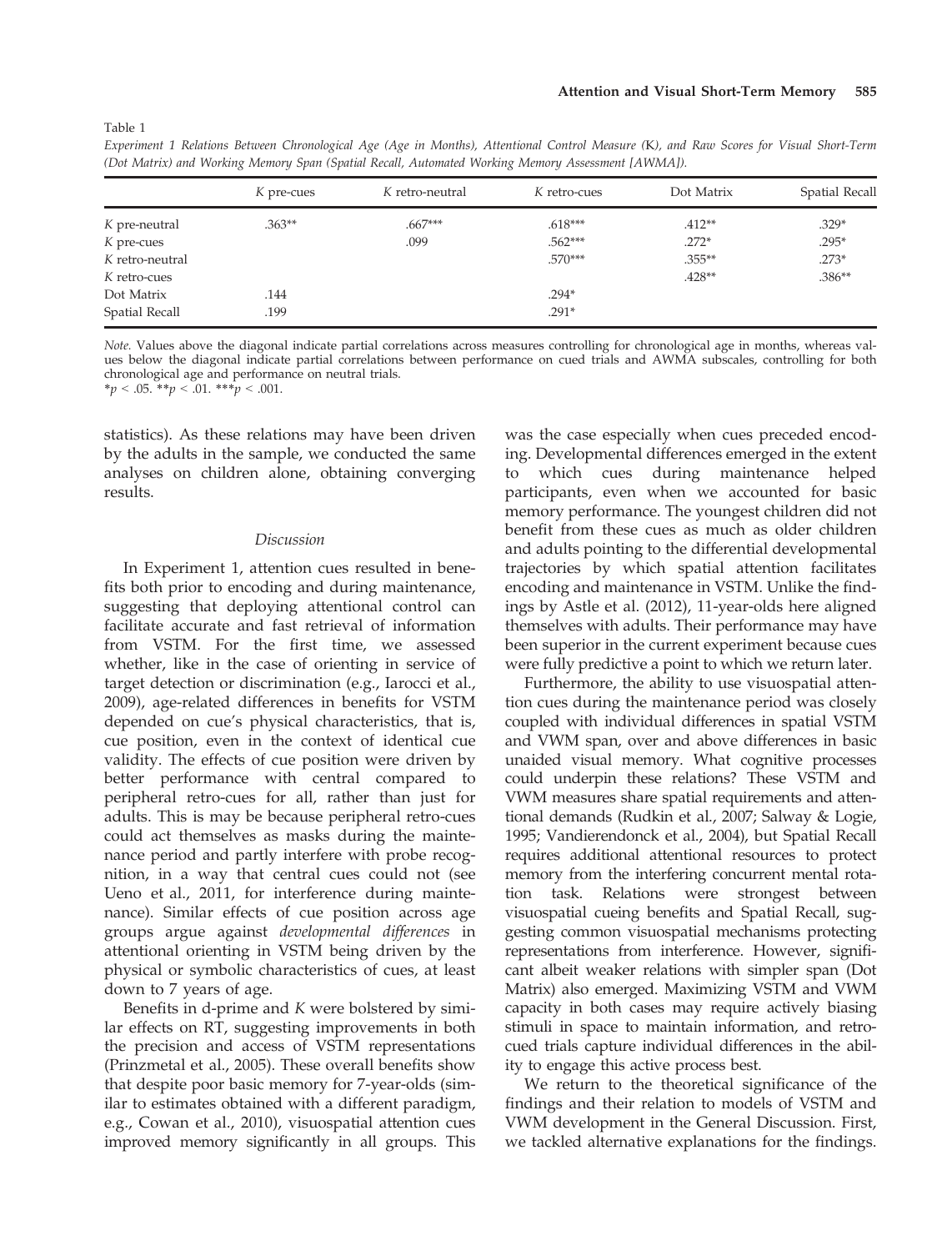| дэл тийнээ ини толкигх тистолу эрин дэриййн кесин, гинотийси толкигх тистолу гизэсээтсні [гтттритт]). |                |  |  |
|-------------------------------------------------------------------------------------------------------|----------------|--|--|
| Dot Matrix                                                                                            | Spatial Recall |  |  |
| $.412**$                                                                                              | $.329*$        |  |  |
| $.272*$                                                                                               | $.295*$        |  |  |
| $.355**$                                                                                              | $.273*$        |  |  |
| $.428**$                                                                                              | $.386**$       |  |  |
|                                                                                                       |                |  |  |
|                                                                                                       |                |  |  |
|                                                                                                       |                |  |  |

Experiment 1 Relations Between Chronological Age (Age in Months), Attentional Control Measure (K), and Raw Scores for Visual Short-Term (Dot Matrix) and Working Memory Span (Spatial Recall, Automated Working Memory Assessment [AWMA]).

Note. Values above the diagonal indicate partial correlations across measures controlling for chronological age in months, whereas values below the diagonal indicate partial correlations between performance on cued trials and AWMA subscales, controlling for both chronological age and performance on neutral trials.

\*p < .05. \*\*p < .01. \*\*\*p < .001.

statistics). As these relations may have been driven by the adults in the sample, we conducted the same analyses on children alone, obtaining converging results.

#### Discussion

In Experiment 1, attention cues resulted in benefits both prior to encoding and during maintenance, suggesting that deploying attentional control can facilitate accurate and fast retrieval of information from VSTM. For the first time, we assessed whether, like in the case of orienting in service of target detection or discrimination (e.g., Iarocci et al., 2009), age-related differences in benefits for VSTM depended on cue's physical characteristics, that is, cue position, even in the context of identical cue validity. The effects of cue position were driven by better performance with central compared to peripheral retro-cues for all, rather than just for adults. This is may be because peripheral retro-cues could act themselves as masks during the maintenance period and partly interfere with probe recognition, in a way that central cues could not (see Ueno et al., 2011, for interference during maintenance). Similar effects of cue position across age groups argue against developmental differences in attentional orienting in VSTM being driven by the physical or symbolic characteristics of cues, at least down to 7 years of age.

Benefits in d-prime and K were bolstered by similar effects on RT, suggesting improvements in both the precision and access of VSTM representations (Prinzmetal et al., 2005). These overall benefits show that despite poor basic memory for 7-year-olds (similar to estimates obtained with a different paradigm, e.g., Cowan et al., 2010), visuospatial attention cues improved memory significantly in all groups. This

was the case especially when cues preceded encoding. Developmental differences emerged in the extent which cues during maintenance helped participants, even when we accounted for basic memory performance. The youngest children did not benefit from these cues as much as older children and adults pointing to the differential developmental trajectories by which spatial attention facilitates encoding and maintenance in VSTM. Unlike the findings by Astle et al. (2012), 11-year-olds here aligned themselves with adults. Their performance may have been superior in the current experiment because cues were fully predictive a point to which we return later.

Furthermore, the ability to use visuospatial attention cues during the maintenance period was closely coupled with individual differences in spatial VSTM and VWM span, over and above differences in basic unaided visual memory. What cognitive processes could underpin these relations? These VSTM and VWM measures share spatial requirements and attentional demands (Rudkin et al., 2007; Salway & Logie, 1995; Vandierendonck et al., 2004), but Spatial Recall requires additional attentional resources to protect memory from the interfering concurrent mental rotation task. Relations were strongest between visuospatial cueing benefits and Spatial Recall, suggesting common visuospatial mechanisms protecting representations from interference. However, significant albeit weaker relations with simpler span (Dot Matrix) also emerged. Maximizing VSTM and VWM capacity in both cases may require actively biasing stimuli in space to maintain information, and retrocued trials capture individual differences in the ability to engage this active process best.

We return to the theoretical significance of the findings and their relation to models of VSTM and VWM development in the General Discussion. First, we tackled alternative explanations for the findings.

#### Table 1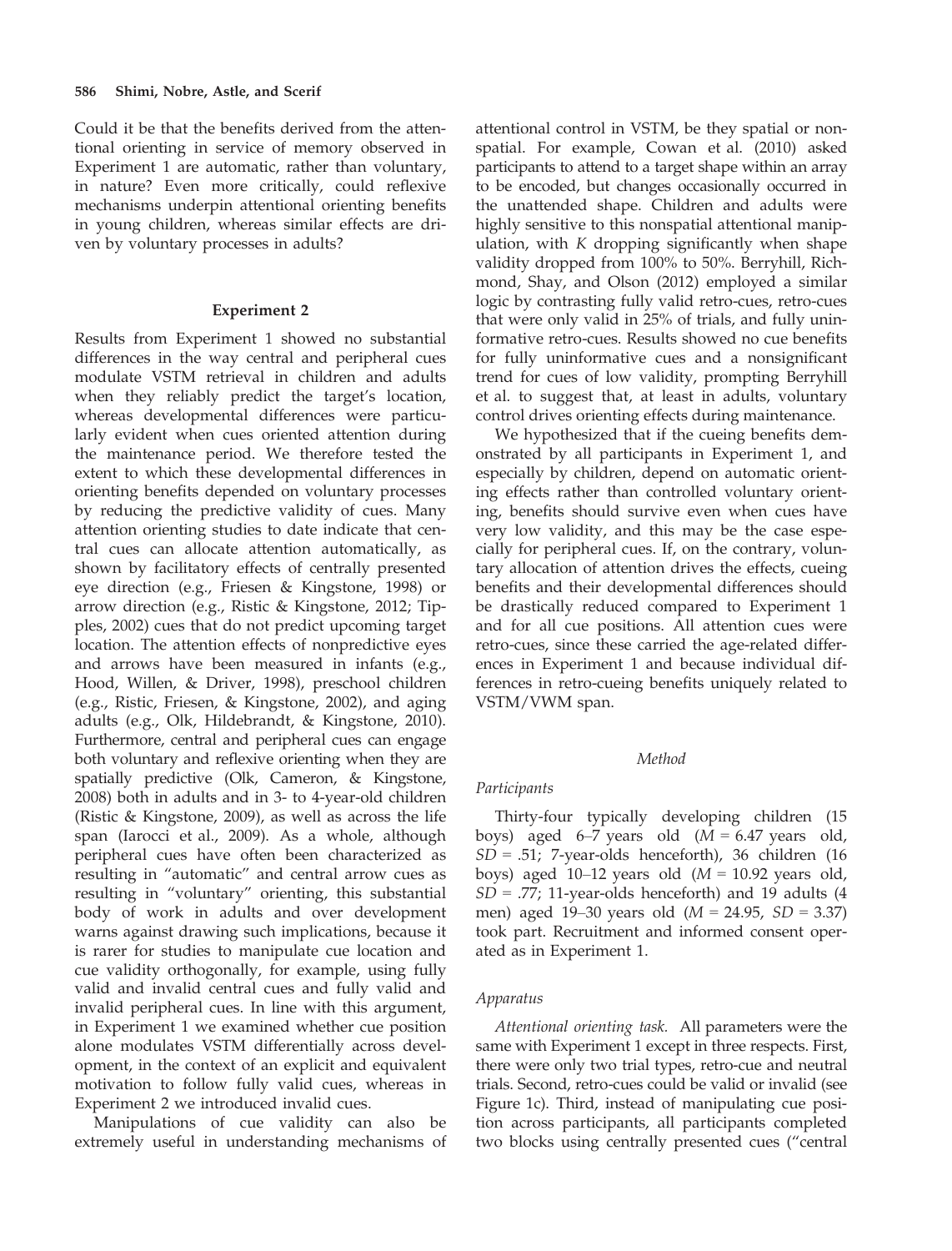Could it be that the benefits derived from the attentional orienting in service of memory observed in Experiment 1 are automatic, rather than voluntary, in nature? Even more critically, could reflexive mechanisms underpin attentional orienting benefits in young children, whereas similar effects are driven by voluntary processes in adults?

#### Experiment 2

Results from Experiment 1 showed no substantial differences in the way central and peripheral cues modulate VSTM retrieval in children and adults when they reliably predict the target's location, whereas developmental differences were particularly evident when cues oriented attention during the maintenance period. We therefore tested the extent to which these developmental differences in orienting benefits depended on voluntary processes by reducing the predictive validity of cues. Many attention orienting studies to date indicate that central cues can allocate attention automatically, as shown by facilitatory effects of centrally presented eye direction (e.g., Friesen & Kingstone, 1998) or arrow direction (e.g., Ristic & Kingstone, 2012; Tipples, 2002) cues that do not predict upcoming target location. The attention effects of nonpredictive eyes and arrows have been measured in infants (e.g., Hood, Willen, & Driver, 1998), preschool children (e.g., Ristic, Friesen, & Kingstone, 2002), and aging adults (e.g., Olk, Hildebrandt, & Kingstone, 2010). Furthermore, central and peripheral cues can engage both voluntary and reflexive orienting when they are spatially predictive (Olk, Cameron, & Kingstone, 2008) both in adults and in 3- to 4-year-old children (Ristic & Kingstone, 2009), as well as across the life span (Iarocci et al., 2009). As a whole, although peripheral cues have often been characterized as resulting in "automatic" and central arrow cues as resulting in "voluntary" orienting, this substantial body of work in adults and over development warns against drawing such implications, because it is rarer for studies to manipulate cue location and cue validity orthogonally, for example, using fully valid and invalid central cues and fully valid and invalid peripheral cues. In line with this argument, in Experiment 1 we examined whether cue position alone modulates VSTM differentially across development, in the context of an explicit and equivalent motivation to follow fully valid cues, whereas in Experiment 2 we introduced invalid cues.

Manipulations of cue validity can also be extremely useful in understanding mechanisms of attentional control in VSTM, be they spatial or nonspatial. For example, Cowan et al. (2010) asked participants to attend to a target shape within an array to be encoded, but changes occasionally occurred in the unattended shape. Children and adults were highly sensitive to this nonspatial attentional manipulation, with  $K$  dropping significantly when shape validity dropped from 100% to 50%. Berryhill, Richmond, Shay, and Olson (2012) employed a similar logic by contrasting fully valid retro-cues, retro-cues that were only valid in 25% of trials, and fully uninformative retro-cues. Results showed no cue benefits for fully uninformative cues and a nonsignificant trend for cues of low validity, prompting Berryhill et al. to suggest that, at least in adults, voluntary control drives orienting effects during maintenance.

We hypothesized that if the cueing benefits demonstrated by all participants in Experiment 1, and especially by children, depend on automatic orienting effects rather than controlled voluntary orienting, benefits should survive even when cues have very low validity, and this may be the case especially for peripheral cues. If, on the contrary, voluntary allocation of attention drives the effects, cueing benefits and their developmental differences should be drastically reduced compared to Experiment 1 and for all cue positions. All attention cues were retro-cues, since these carried the age-related differences in Experiment 1 and because individual differences in retro-cueing benefits uniquely related to VSTM/VWM span.

#### Method

#### Participants

Thirty-four typically developing children (15 boys) aged  $6-7$  years old  $(M = 6.47$  years old,  $SD = .51$ ; 7-year-olds henceforth), 36 children (16 boys) aged 10–12 years old  $(M = 10.92$  years old,  $SD = .77$ ; 11-year-olds henceforth) and 19 adults (4 men) aged 19–30 years old ( $M = 24.95$ ,  $SD = 3.37$ ) took part. Recruitment and informed consent operated as in Experiment 1.

#### Apparatus

Attentional orienting task. All parameters were the same with Experiment 1 except in three respects. First, there were only two trial types, retro-cue and neutral trials. Second, retro-cues could be valid or invalid (see Figure 1c). Third, instead of manipulating cue position across participants, all participants completed two blocks using centrally presented cues ("central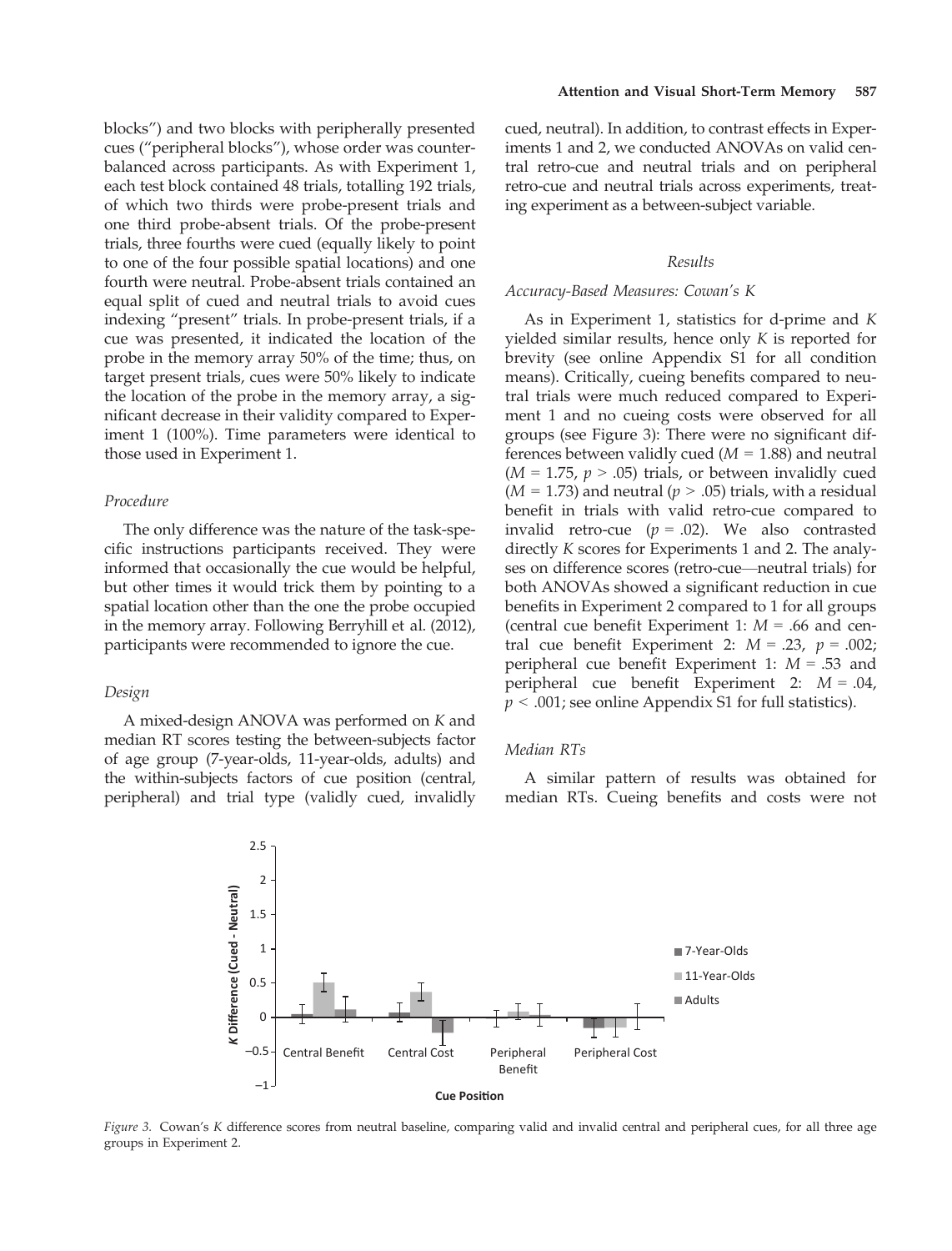blocks") and two blocks with peripherally presented cues ("peripheral blocks"), whose order was counterbalanced across participants. As with Experiment 1, each test block contained 48 trials, totalling 192 trials, of which two thirds were probe-present trials and one third probe-absent trials. Of the probe-present trials, three fourths were cued (equally likely to point to one of the four possible spatial locations) and one fourth were neutral. Probe-absent trials contained an equal split of cued and neutral trials to avoid cues indexing "present" trials. In probe-present trials, if a cue was presented, it indicated the location of the probe in the memory array 50% of the time; thus, on target present trials, cues were 50% likely to indicate the location of the probe in the memory array, a significant decrease in their validity compared to Experiment 1 (100%). Time parameters were identical to those used in Experiment 1.

#### Procedure

The only difference was the nature of the task-specific instructions participants received. They were informed that occasionally the cue would be helpful, but other times it would trick them by pointing to a spatial location other than the one the probe occupied in the memory array. Following Berryhill et al. (2012), participants were recommended to ignore the cue.

#### Design

A mixed-design ANOVA was performed on K and median RT scores testing the between-subjects factor of age group (7-year-olds, 11-year-olds, adults) and the within-subjects factors of cue position (central, peripheral) and trial type (validly cued, invalidly cued, neutral). In addition, to contrast effects in Experiments 1 and 2, we conducted ANOVAs on valid central retro-cue and neutral trials and on peripheral retro-cue and neutral trials across experiments, treating experiment as a between-subject variable.

#### Results

# Accuracy-Based Measures: Cowan's K

As in Experiment 1, statistics for d-prime and K yielded similar results, hence only K is reported for brevity (see online Appendix S1 for all condition means). Critically, cueing benefits compared to neutral trials were much reduced compared to Experiment 1 and no cueing costs were observed for all groups (see Figure 3): There were no significant differences between validly cued ( $M = 1.88$ ) and neutral  $(M = 1.75, p > .05)$  trials, or between invalidly cued ( $M = 1.73$ ) and neutral ( $p > .05$ ) trials, with a residual benefit in trials with valid retro-cue compared to invalid retro-cue ( $p = .02$ ). We also contrasted directly K scores for Experiments 1 and 2. The analyses on difference scores (retro-cue—neutral trials) for both ANOVAs showed a significant reduction in cue benefits in Experiment 2 compared to 1 for all groups (central cue benefit Experiment 1:  $M = .66$  and central cue benefit Experiment 2:  $M = .23$ ,  $p = .002$ ; peripheral cue benefit Experiment 1:  $M = .53$  and peripheral cue benefit Experiment 2: M = .04,  $p < .001$ ; see online Appendix S1 for full statistics).

#### Median RTs

A similar pattern of results was obtained for median RTs. Cueing benefits and costs were not





Figure 3. Cowan's K difference scores from neutral baseline, comparing valid and invalid central and peripheral cues, for all three age groups in Experiment 2.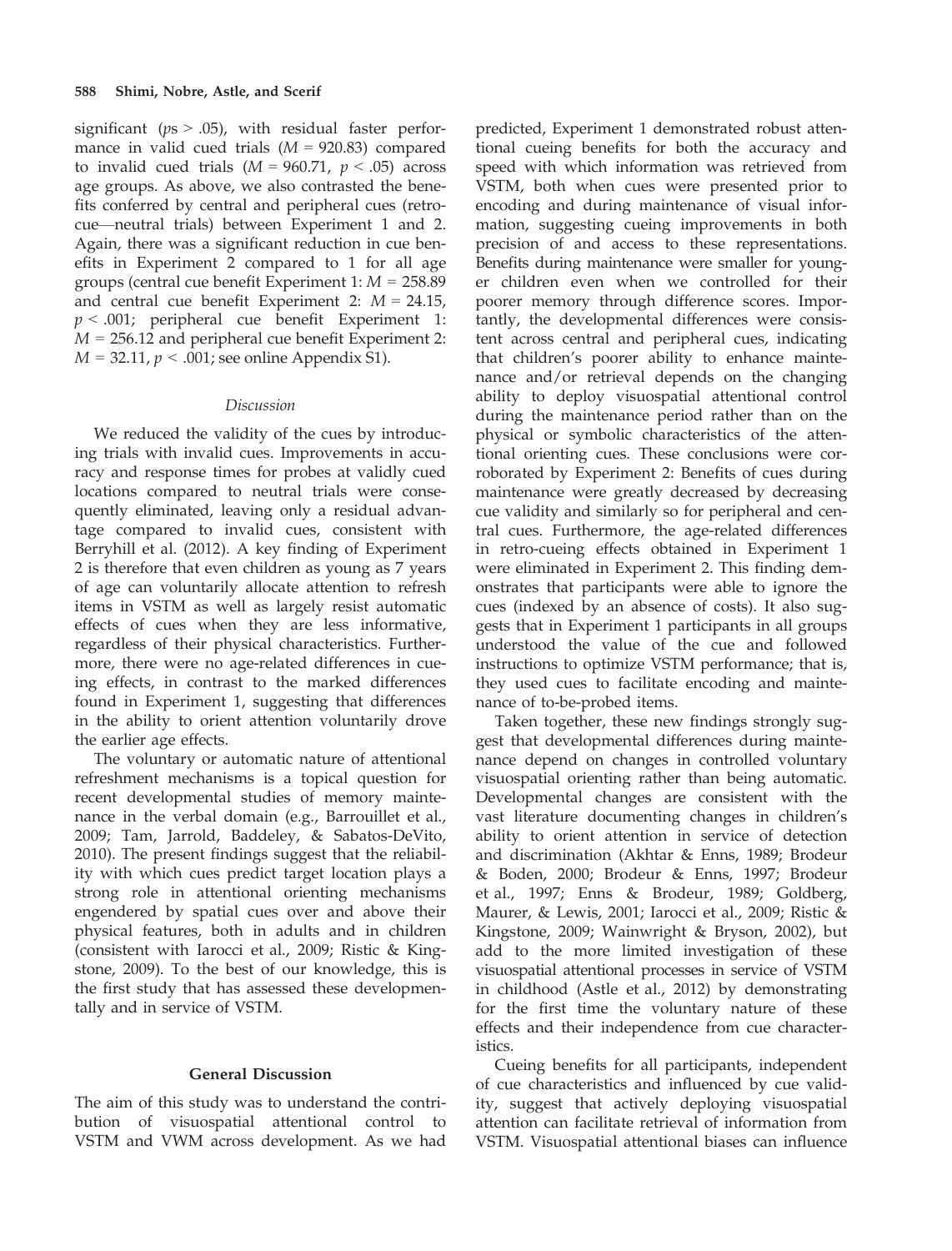significant ( $ps$   $>$  .05), with residual faster performance in valid cued trials  $(M = 920.83)$  compared to invalid cued trials ( $M = 960.71$ ,  $p < .05$ ) across age groups. As above, we also contrasted the benefits conferred by central and peripheral cues (retrocue—neutral trials) between Experiment 1 and 2. Again, there was a significant reduction in cue benefits in Experiment 2 compared to 1 for all age groups (central cue benefit Experiment  $1: M = 258.89$ and central cue benefit Experiment 2:  $M = 24.15$ ,  $p < .001$ ; peripheral cue benefit Experiment 1:  $M = 256.12$  and peripheral cue benefit Experiment 2:  $M = 32.11$ ,  $p < .001$ ; see online Appendix S1).

# Discussion

We reduced the validity of the cues by introducing trials with invalid cues. Improvements in accuracy and response times for probes at validly cued locations compared to neutral trials were consequently eliminated, leaving only a residual advantage compared to invalid cues, consistent with Berryhill et al. (2012). A key finding of Experiment 2 is therefore that even children as young as 7 years of age can voluntarily allocate attention to refresh items in VSTM as well as largely resist automatic effects of cues when they are less informative, regardless of their physical characteristics. Furthermore, there were no age-related differences in cueing effects, in contrast to the marked differences found in Experiment 1, suggesting that differences in the ability to orient attention voluntarily drove the earlier age effects.

The voluntary or automatic nature of attentional refreshment mechanisms is a topical question for recent developmental studies of memory maintenance in the verbal domain (e.g., Barrouillet et al., 2009; Tam, Jarrold, Baddeley, & Sabatos-DeVito, 2010). The present findings suggest that the reliability with which cues predict target location plays a strong role in attentional orienting mechanisms engendered by spatial cues over and above their physical features, both in adults and in children (consistent with Iarocci et al., 2009; Ristic & Kingstone, 2009). To the best of our knowledge, this is the first study that has assessed these developmentally and in service of VSTM.

# General Discussion

The aim of this study was to understand the contribution of visuospatial attentional control to VSTM and VWM across development. As we had predicted, Experiment 1 demonstrated robust attentional cueing benefits for both the accuracy and speed with which information was retrieved from VSTM, both when cues were presented prior to encoding and during maintenance of visual information, suggesting cueing improvements in both precision of and access to these representations. Benefits during maintenance were smaller for younger children even when we controlled for their poorer memory through difference scores. Importantly, the developmental differences were consistent across central and peripheral cues, indicating that children's poorer ability to enhance maintenance and/or retrieval depends on the changing ability to deploy visuospatial attentional control during the maintenance period rather than on the physical or symbolic characteristics of the attentional orienting cues. These conclusions were corroborated by Experiment 2: Benefits of cues during maintenance were greatly decreased by decreasing cue validity and similarly so for peripheral and central cues. Furthermore, the age-related differences in retro-cueing effects obtained in Experiment 1 were eliminated in Experiment 2. This finding demonstrates that participants were able to ignore the cues (indexed by an absence of costs). It also suggests that in Experiment 1 participants in all groups understood the value of the cue and followed instructions to optimize VSTM performance; that is, they used cues to facilitate encoding and maintenance of to-be-probed items.

Taken together, these new findings strongly suggest that developmental differences during maintenance depend on changes in controlled voluntary visuospatial orienting rather than being automatic. Developmental changes are consistent with the vast literature documenting changes in children's ability to orient attention in service of detection and discrimination (Akhtar & Enns, 1989; Brodeur & Boden, 2000; Brodeur & Enns, 1997; Brodeur et al., 1997; Enns & Brodeur, 1989; Goldberg, Maurer, & Lewis, 2001; Iarocci et al., 2009; Ristic & Kingstone, 2009; Wainwright & Bryson, 2002), but add to the more limited investigation of these visuospatial attentional processes in service of VSTM in childhood (Astle et al., 2012) by demonstrating for the first time the voluntary nature of these effects and their independence from cue characteristics.

Cueing benefits for all participants, independent of cue characteristics and influenced by cue validity, suggest that actively deploying visuospatial attention can facilitate retrieval of information from VSTM. Visuospatial attentional biases can influence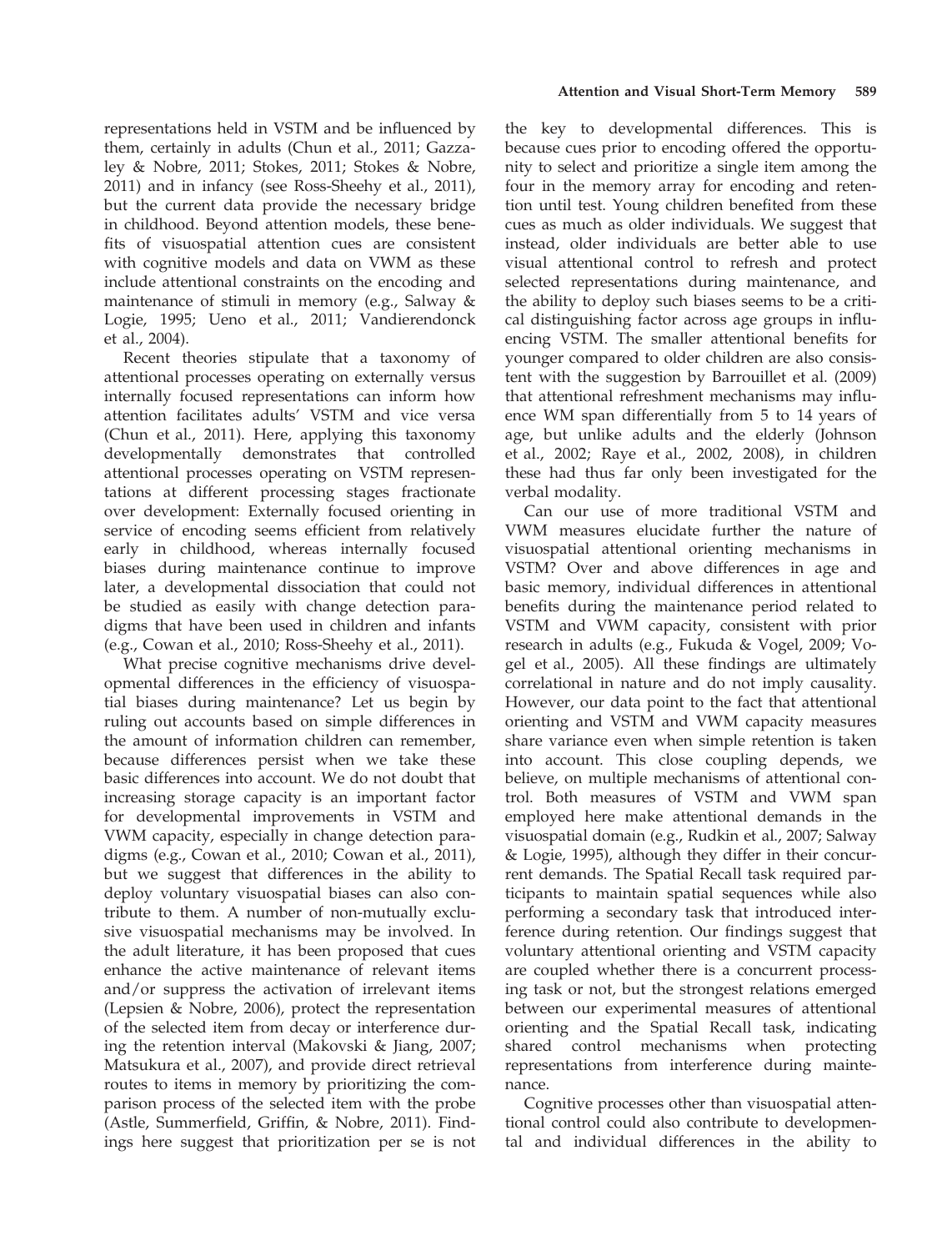representations held in VSTM and be influenced by them, certainly in adults (Chun et al., 2011; Gazzaley & Nobre, 2011; Stokes, 2011; Stokes & Nobre, 2011) and in infancy (see Ross-Sheehy et al., 2011), but the current data provide the necessary bridge in childhood. Beyond attention models, these benefits of visuospatial attention cues are consistent with cognitive models and data on VWM as these include attentional constraints on the encoding and maintenance of stimuli in memory (e.g., Salway & Logie, 1995; Ueno et al., 2011; Vandierendonck et al., 2004).

Recent theories stipulate that a taxonomy of attentional processes operating on externally versus internally focused representations can inform how attention facilitates adults' VSTM and vice versa (Chun et al., 2011). Here, applying this taxonomy developmentally demonstrates that controlled attentional processes operating on VSTM representations at different processing stages fractionate over development: Externally focused orienting in service of encoding seems efficient from relatively early in childhood, whereas internally focused biases during maintenance continue to improve later, a developmental dissociation that could not be studied as easily with change detection paradigms that have been used in children and infants (e.g., Cowan et al., 2010; Ross-Sheehy et al., 2011).

What precise cognitive mechanisms drive developmental differences in the efficiency of visuospatial biases during maintenance? Let us begin by ruling out accounts based on simple differences in the amount of information children can remember, because differences persist when we take these basic differences into account. We do not doubt that increasing storage capacity is an important factor for developmental improvements in VSTM and VWM capacity, especially in change detection paradigms (e.g., Cowan et al., 2010; Cowan et al., 2011), but we suggest that differences in the ability to deploy voluntary visuospatial biases can also contribute to them. A number of non-mutually exclusive visuospatial mechanisms may be involved. In the adult literature, it has been proposed that cues enhance the active maintenance of relevant items and/or suppress the activation of irrelevant items (Lepsien & Nobre, 2006), protect the representation of the selected item from decay or interference during the retention interval (Makovski & Jiang, 2007; Matsukura et al., 2007), and provide direct retrieval routes to items in memory by prioritizing the comparison process of the selected item with the probe (Astle, Summerfield, Griffin, & Nobre, 2011). Findings here suggest that prioritization per se is not the key to developmental differences. This is because cues prior to encoding offered the opportunity to select and prioritize a single item among the four in the memory array for encoding and retention until test. Young children benefited from these cues as much as older individuals. We suggest that instead, older individuals are better able to use visual attentional control to refresh and protect selected representations during maintenance, and the ability to deploy such biases seems to be a critical distinguishing factor across age groups in influencing VSTM. The smaller attentional benefits for younger compared to older children are also consistent with the suggestion by Barrouillet et al. (2009) that attentional refreshment mechanisms may influence WM span differentially from 5 to 14 years of age, but unlike adults and the elderly (Johnson et al., 2002; Raye et al., 2002, 2008), in children these had thus far only been investigated for the verbal modality.

Can our use of more traditional VSTM and VWM measures elucidate further the nature of visuospatial attentional orienting mechanisms in VSTM? Over and above differences in age and basic memory, individual differences in attentional benefits during the maintenance period related to VSTM and VWM capacity, consistent with prior research in adults (e.g., Fukuda & Vogel, 2009; Vogel et al., 2005). All these findings are ultimately correlational in nature and do not imply causality. However, our data point to the fact that attentional orienting and VSTM and VWM capacity measures share variance even when simple retention is taken into account. This close coupling depends, we believe, on multiple mechanisms of attentional control. Both measures of VSTM and VWM span employed here make attentional demands in the visuospatial domain (e.g., Rudkin et al., 2007; Salway & Logie, 1995), although they differ in their concurrent demands. The Spatial Recall task required participants to maintain spatial sequences while also performing a secondary task that introduced interference during retention. Our findings suggest that voluntary attentional orienting and VSTM capacity are coupled whether there is a concurrent processing task or not, but the strongest relations emerged between our experimental measures of attentional orienting and the Spatial Recall task, indicating shared control mechanisms when protecting representations from interference during maintenance.

Cognitive processes other than visuospatial attentional control could also contribute to developmental and individual differences in the ability to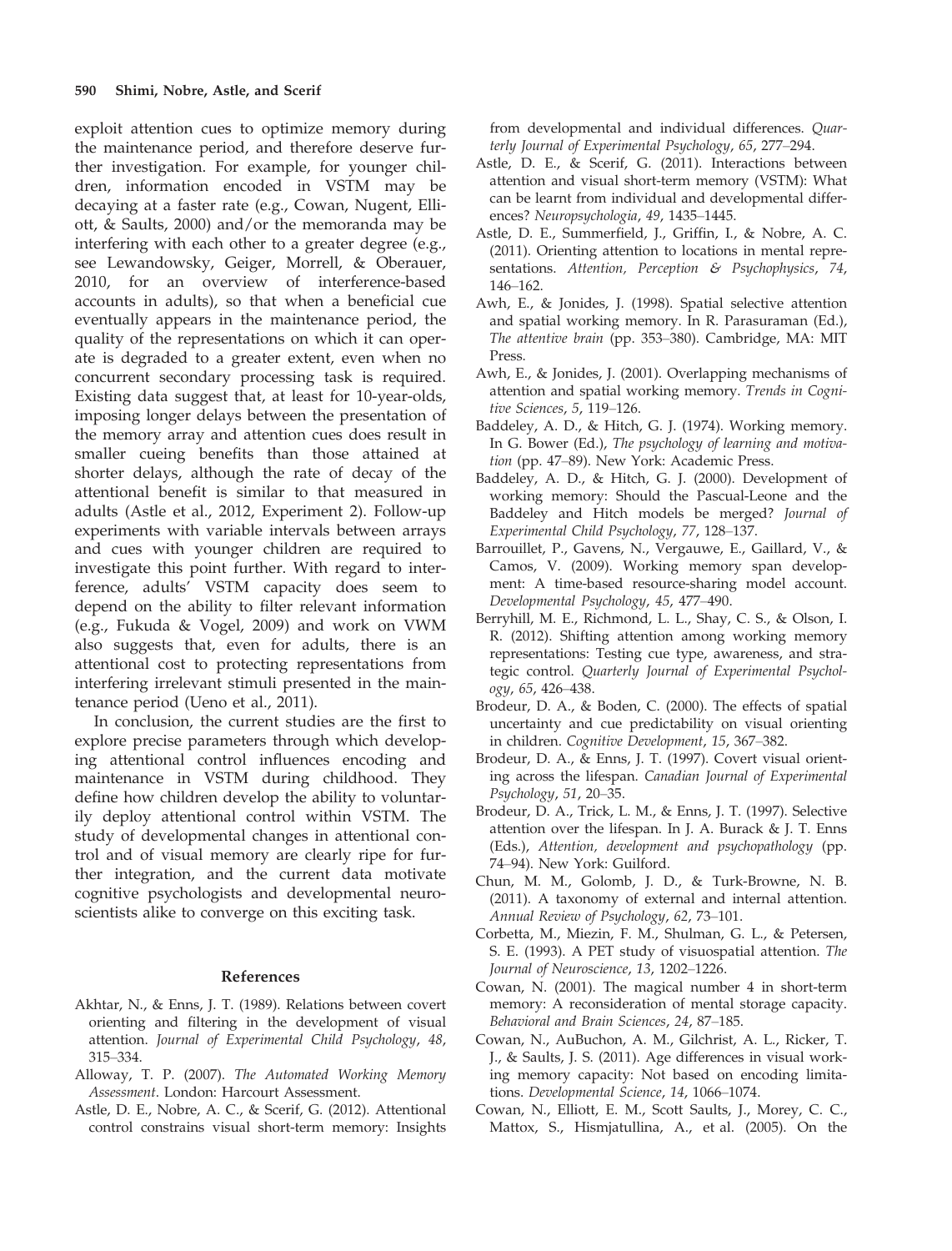exploit attention cues to optimize memory during the maintenance period, and therefore deserve further investigation. For example, for younger children, information encoded in VSTM may be decaying at a faster rate (e.g., Cowan, Nugent, Elliott, & Saults, 2000) and/or the memoranda may be interfering with each other to a greater degree (e.g., see Lewandowsky, Geiger, Morrell, & Oberauer, 2010, for an overview of interference-based accounts in adults), so that when a beneficial cue eventually appears in the maintenance period, the quality of the representations on which it can operate is degraded to a greater extent, even when no concurrent secondary processing task is required. Existing data suggest that, at least for 10-year-olds, imposing longer delays between the presentation of the memory array and attention cues does result in smaller cueing benefits than those attained at shorter delays, although the rate of decay of the attentional benefit is similar to that measured in adults (Astle et al., 2012, Experiment 2). Follow-up experiments with variable intervals between arrays and cues with younger children are required to investigate this point further. With regard to interference, adults' VSTM capacity does seem to depend on the ability to filter relevant information (e.g., Fukuda & Vogel, 2009) and work on VWM also suggests that, even for adults, there is an attentional cost to protecting representations from interfering irrelevant stimuli presented in the maintenance period (Ueno et al., 2011).

In conclusion, the current studies are the first to explore precise parameters through which developing attentional control influences encoding and maintenance in VSTM during childhood. They define how children develop the ability to voluntarily deploy attentional control within VSTM. The study of developmental changes in attentional control and of visual memory are clearly ripe for further integration, and the current data motivate cognitive psychologists and developmental neuroscientists alike to converge on this exciting task.

# References

- Akhtar, N., & Enns, J. T. (1989). Relations between covert orienting and filtering in the development of visual attention. Journal of Experimental Child Psychology, 48, 315–334.
- Alloway, T. P. (2007). The Automated Working Memory Assessment. London: Harcourt Assessment.
- Astle, D. E., Nobre, A. C., & Scerif, G. (2012). Attentional control constrains visual short-term memory: Insights

from developmental and individual differences. Quarterly Journal of Experimental Psychology, 65, 277–294.

- Astle, D. E., & Scerif, G. (2011). Interactions between attention and visual short-term memory (VSTM): What can be learnt from individual and developmental differences? Neuropsychologia, 49, 1435–1445.
- Astle, D. E., Summerfield, J., Griffin, I., & Nobre, A. C. (2011). Orienting attention to locations in mental representations. Attention, Perception & Psychophysics, 74, 146–162.
- Awh, E., & Jonides, J. (1998). Spatial selective attention and spatial working memory. In R. Parasuraman (Ed.), The attentive brain (pp. 353–380). Cambridge, MA: MIT Press.
- Awh, E., & Jonides, J. (2001). Overlapping mechanisms of attention and spatial working memory. Trends in Cognitive Sciences, 5, 119–126.
- Baddeley, A. D., & Hitch, G. J. (1974). Working memory. In G. Bower (Ed.), The psychology of learning and motivation (pp. 47–89). New York: Academic Press.
- Baddeley, A. D., & Hitch, G. J. (2000). Development of working memory: Should the Pascual-Leone and the Baddeley and Hitch models be merged? Journal of Experimental Child Psychology, 77, 128–137.
- Barrouillet, P., Gavens, N., Vergauwe, E., Gaillard, V., & Camos, V. (2009). Working memory span development: A time-based resource-sharing model account. Developmental Psychology, 45, 477–490.
- Berryhill, M. E., Richmond, L. L., Shay, C. S., & Olson, I. R. (2012). Shifting attention among working memory representations: Testing cue type, awareness, and strategic control. Quarterly Journal of Experimental Psychology, 65, 426–438.
- Brodeur, D. A., & Boden, C. (2000). The effects of spatial uncertainty and cue predictability on visual orienting in children. Cognitive Development, 15, 367–382.
- Brodeur, D. A., & Enns, J. T. (1997). Covert visual orienting across the lifespan. Canadian Journal of Experimental Psychology, 51, 20–35.
- Brodeur, D. A., Trick, L. M., & Enns, J. T. (1997). Selective attention over the lifespan. In J. A. Burack & J. T. Enns (Eds.), Attention, development and psychopathology (pp. 74–94). New York: Guilford.
- Chun, M. M., Golomb, J. D., & Turk-Browne, N. B. (2011). A taxonomy of external and internal attention. Annual Review of Psychology, 62, 73–101.
- Corbetta, M., Miezin, F. M., Shulman, G. L., & Petersen, S. E. (1993). A PET study of visuospatial attention. The Journal of Neuroscience, 13, 1202–1226.
- Cowan, N. (2001). The magical number 4 in short-term memory: A reconsideration of mental storage capacity. Behavioral and Brain Sciences, 24, 87–185.
- Cowan, N., AuBuchon, A. M., Gilchrist, A. L., Ricker, T. J., & Saults, J. S. (2011). Age differences in visual working memory capacity: Not based on encoding limitations. Developmental Science, 14, 1066–1074.
- Cowan, N., Elliott, E. M., Scott Saults, J., Morey, C. C., Mattox, S., Hismjatullina, A., et al. (2005). On the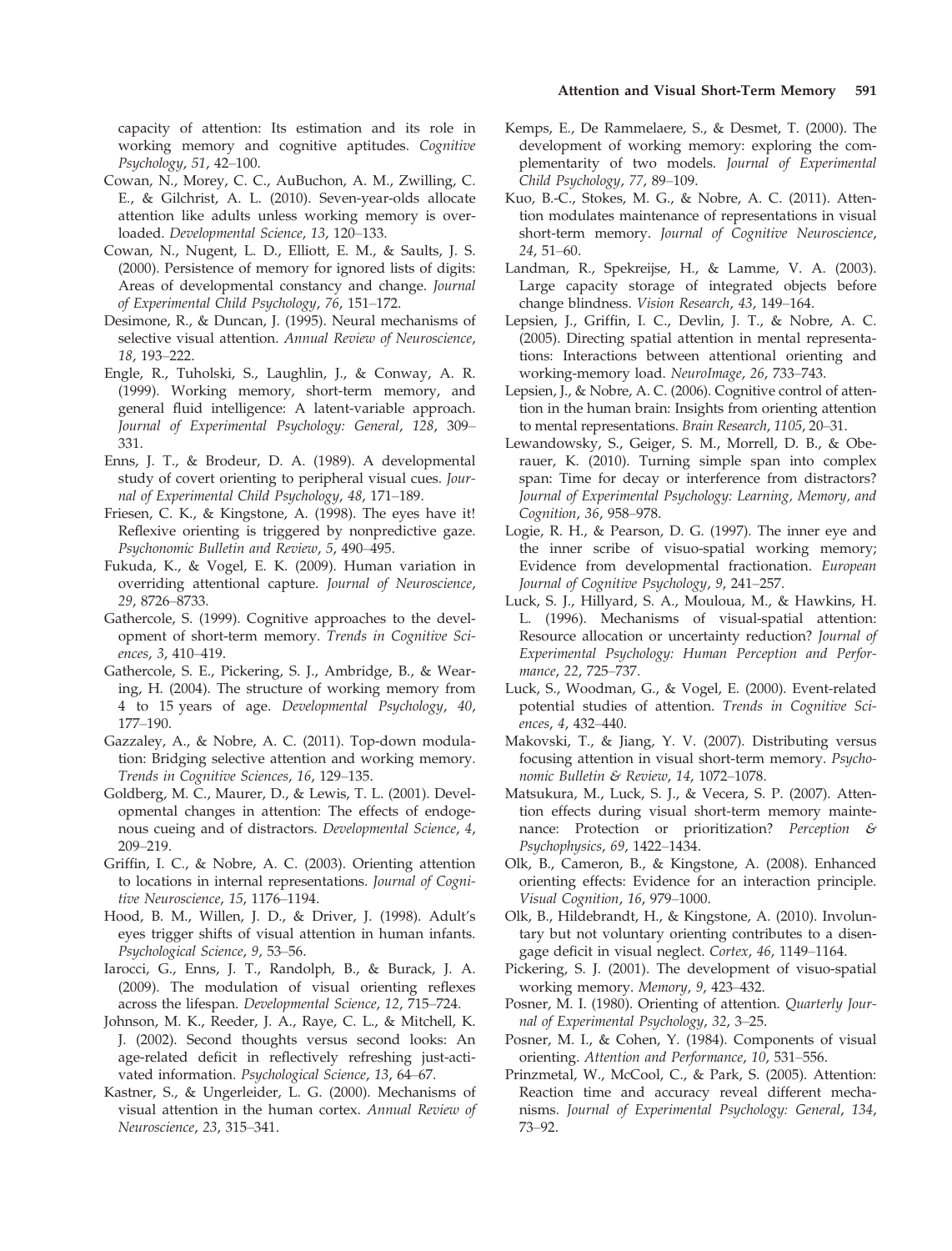capacity of attention: Its estimation and its role in working memory and cognitive aptitudes. Cognitive Psychology, 51, 42–100.

- Cowan, N., Morey, C. C., AuBuchon, A. M., Zwilling, C. E., & Gilchrist, A. L. (2010). Seven-year-olds allocate attention like adults unless working memory is overloaded. Developmental Science, 13, 120–133.
- Cowan, N., Nugent, L. D., Elliott, E. M., & Saults, J. S. (2000). Persistence of memory for ignored lists of digits: Areas of developmental constancy and change. Journal of Experimental Child Psychology, 76, 151–172.
- Desimone, R., & Duncan, J. (1995). Neural mechanisms of selective visual attention. Annual Review of Neuroscience, 18, 193–222.
- Engle, R., Tuholski, S., Laughlin, J., & Conway, A. R. (1999). Working memory, short-term memory, and general fluid intelligence: A latent-variable approach. Journal of Experimental Psychology: General, 128, 309– 331.
- Enns, J. T., & Brodeur, D. A. (1989). A developmental study of covert orienting to peripheral visual cues. Journal of Experimental Child Psychology, 48, 171–189.
- Friesen, C. K., & Kingstone, A. (1998). The eyes have it! Reflexive orienting is triggered by nonpredictive gaze. Psychonomic Bulletin and Review, 5, 490–495.
- Fukuda, K., & Vogel, E. K. (2009). Human variation in overriding attentional capture. Journal of Neuroscience, 29, 8726–8733.
- Gathercole, S. (1999). Cognitive approaches to the development of short-term memory. Trends in Cognitive Sciences, 3, 410–419.
- Gathercole, S. E., Pickering, S. J., Ambridge, B., & Wearing, H. (2004). The structure of working memory from 4 to 15 years of age. Developmental Psychology, 40, 177–190.
- Gazzaley, A., & Nobre, A. C. (2011). Top-down modulation: Bridging selective attention and working memory. Trends in Cognitive Sciences, 16, 129–135.
- Goldberg, M. C., Maurer, D., & Lewis, T. L. (2001). Developmental changes in attention: The effects of endogenous cueing and of distractors. Developmental Science, 4, 209–219.
- Griffin, I. C., & Nobre, A. C. (2003). Orienting attention to locations in internal representations. Journal of Cognitive Neuroscience, 15, 1176–1194.
- Hood, B. M., Willen, J. D., & Driver, J. (1998). Adult's eyes trigger shifts of visual attention in human infants. Psychological Science, 9, 53–56.
- Iarocci, G., Enns, J. T., Randolph, B., & Burack, J. A. (2009). The modulation of visual orienting reflexes across the lifespan. Developmental Science, 12, 715–724.
- Johnson, M. K., Reeder, J. A., Raye, C. L., & Mitchell, K. J. (2002). Second thoughts versus second looks: An age-related deficit in reflectively refreshing just-activated information. Psychological Science, 13, 64–67.
- Kastner, S., & Ungerleider, L. G. (2000). Mechanisms of visual attention in the human cortex. Annual Review of Neuroscience, 23, 315–341.
- Kemps, E., De Rammelaere, S., & Desmet, T. (2000). The development of working memory: exploring the complementarity of two models. Journal of Experimental Child Psychology, 77, 89–109.
- Kuo, B.-C., Stokes, M. G., & Nobre, A. C. (2011). Attention modulates maintenance of representations in visual short-term memory. Journal of Cognitive Neuroscience, 24, 51–60.
- Landman, R., Spekreijse, H., & Lamme, V. A. (2003). Large capacity storage of integrated objects before change blindness. Vision Research, 43, 149–164.
- Lepsien, J., Griffin, I. C., Devlin, J. T., & Nobre, A. C. (2005). Directing spatial attention in mental representations: Interactions between attentional orienting and working-memory load. NeuroImage, 26, 733–743.
- Lepsien, J., & Nobre, A. C. (2006). Cognitive control of attention in the human brain: Insights from orienting attention to mental representations. Brain Research, 1105, 20–31.
- Lewandowsky, S., Geiger, S. M., Morrell, D. B., & Oberauer, K. (2010). Turning simple span into complex span: Time for decay or interference from distractors? Journal of Experimental Psychology: Learning, Memory, and Cognition, 36, 958–978.
- Logie, R. H., & Pearson, D. G. (1997). The inner eye and the inner scribe of visuo-spatial working memory; Evidence from developmental fractionation. European Journal of Cognitive Psychology, 9, 241–257.
- Luck, S. J., Hillyard, S. A., Mouloua, M., & Hawkins, H. L. (1996). Mechanisms of visual-spatial attention: Resource allocation or uncertainty reduction? Journal of Experimental Psychology: Human Perception and Performance, 22, 725–737.
- Luck, S., Woodman, G., & Vogel, E. (2000). Event-related potential studies of attention. Trends in Cognitive Sciences, 4, 432–440.
- Makovski, T., & Jiang, Y. V. (2007). Distributing versus focusing attention in visual short-term memory. Psychonomic Bulletin & Review, 14, 1072–1078.
- Matsukura, M., Luck, S. J., & Vecera, S. P. (2007). Attention effects during visual short-term memory maintenance: Protection or prioritization? Perception & Psychophysics, 69, 1422–1434.
- Olk, B., Cameron, B., & Kingstone, A. (2008). Enhanced orienting effects: Evidence for an interaction principle. Visual Cognition, 16, 979–1000.
- Olk, B., Hildebrandt, H., & Kingstone, A. (2010). Involuntary but not voluntary orienting contributes to a disengage deficit in visual neglect. Cortex, 46, 1149–1164.
- Pickering, S. J. (2001). The development of visuo-spatial working memory. Memory, 9, 423–432.
- Posner, M. I. (1980). Orienting of attention. Quarterly Journal of Experimental Psychology, 32, 3–25.
- Posner, M. I., & Cohen, Y. (1984). Components of visual orienting. Attention and Performance, 10, 531–556.
- Prinzmetal, W., McCool, C., & Park, S. (2005). Attention: Reaction time and accuracy reveal different mechanisms. Journal of Experimental Psychology: General, 134, 73–92.